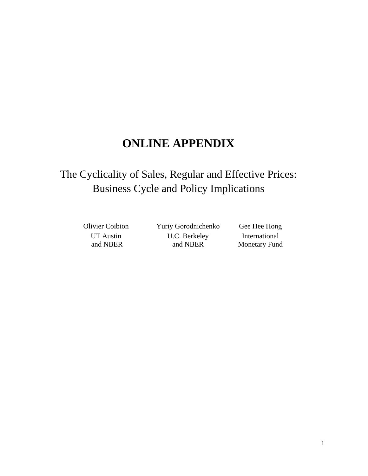# **ONLINE APPENDIX**

# The Cyclicality of Sales, Regular and Effective Prices: Business Cycle and Policy Implications

UT Austin and NBER

Olivier Coibion Yuriy Gorodnichenko Gee Hee Hong U.C. Berkeley and NBER

International Monetary Fund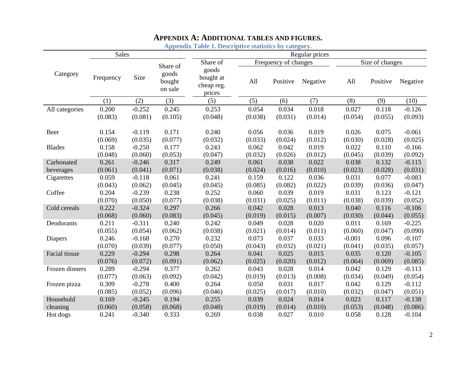| <b>Sales</b>   |           |          |                                        |                                            |         |                      | Regular prices |          |                 |          |
|----------------|-----------|----------|----------------------------------------|--------------------------------------------|---------|----------------------|----------------|----------|-----------------|----------|
|                |           |          | Share of<br>goods<br>bought<br>on sale | Share of                                   |         | Frequency of changes |                |          | Size of changes |          |
| Category       | Frequency | Size     |                                        | goods<br>bought at<br>cheap reg.<br>prices | All     | Positive             | Negative       | All      | Positive        | Negative |
|                | (1)       | (2)      | (3)                                    | (5)                                        | (5)     | (6)                  | (7)            | (8)      | (9)             | (10)     |
| All categories | 0.200     | $-0.252$ | 0.245                                  | 0.253                                      | 0.054   | 0.034                | 0.018          | 0.027    | 0.118           | $-0.126$ |
|                | (0.083)   | (0.081)  | (0.105)                                | (0.048)                                    | (0.038) | (0.031)              | (0.014)        | (0.054)  | (0.055)         | (0.093)  |
| Beer           | 0.154     | $-0.119$ | 0.171                                  | 0.240                                      | 0.056   | 0.036                | 0.019          | 0.026    | 0.075           | $-0.061$ |
|                | (0.069)   | (0.035)  | (0.077)                                | (0.032)                                    | (0.033) | (0.024)              | (0.012)        | (0.030)  | (0.028)         | (0.025)  |
| <b>Blades</b>  | 0.158     | $-0.250$ | 0.177                                  | 0.243                                      | 0.062   | 0.042                | 0.019          | 0.022    | 0.110           | $-0.166$ |
|                | (0.048)   | (0.060)  | (0.053)                                | (0.047)                                    | (0.032) | (0.026)              | (0.012)        | (0.045)  | (0.039)         | (0.092)  |
| Carbonated     | 0.261     | $-0.246$ | 0.317                                  | 0.249                                      | 0.061   | 0.038                | 0.022          | 0.038    | 0.132           | $-0.115$ |
| beverages      | (0.061)   | (0.041)  | (0.071)                                | (0.038)                                    | (0.024) | (0.016)              | (0.010)        | (0.023)  | (0.028)         | (0.031)  |
| Cigarettes     | 0.059     | $-0.118$ | 0.061                                  | 0.241                                      | 0.159   | 0.122                | 0.036          | 0.031    | 0.077           | $-0.083$ |
|                | (0.043)   | (0.062)  | (0.045)                                | (0.045)                                    | (0.085) | (0.082)              | (0.022)        | (0.039)  | (0.036)         | (0.047)  |
| Coffee         | 0.204     | $-0.239$ | 0.238                                  | 0.252                                      | 0.060   | 0.039                | 0.019          | 0.031    | 0.123           | $-0.121$ |
|                | (0.070)   | (0.050)  | (0.077)                                | (0.038)                                    | (0.031) | (0.025)              | (0.011)        | (0.038)  | (0.039)         | (0.052)  |
| Cold cereals   | 0.222     | $-0.324$ | 0.297                                  | 0.266                                      | 0.042   | 0.028                | 0.013          | 0.040    | 0.116           | $-0.106$ |
|                | (0.068)   | (0.060)  | (0.083)                                | (0.045)                                    | (0.019) | (0.015)              | (0.007)        | (0.030)  | (0.044)         | (0.055)  |
| Deodorants     | 0.211     | $-0.311$ | 0.240                                  | 0.242                                      | 0.049   | 0.028                | 0.020          | 0.011    | 0.169           | $-0.225$ |
|                | (0.055)   | (0.054)  | (0.062)                                | (0.038)                                    | (0.021) | (0.014)              | (0.011)        | (0.060)  | (0.047)         | (0.090)  |
| Diapers        | 0.246     | $-0.168$ | 0.270                                  | 0.232                                      | 0.073   | 0.037                | 0.033          | $-0.001$ | 0.096           | $-0.107$ |
|                | (0.070)   | (0.039)  | (0.077)                                | (0.050)                                    | (0.043) | (0.032)              | (0.021)        | (0.041)  | (0.035)         | (0.057)  |
| Facial tissue  | 0.229     | $-0.294$ | 0.298                                  | 0.264                                      | 0.041   | 0.025                | 0.015          | 0.035    | 0.120           | $-0.105$ |
|                | (0.076)   | (0.072)  | (0.091)                                | (0.062)                                    | (0.025) | (0.020)              | (0.012)        | (0.064)  | (0.069)         | (0.085)  |
| Frozen dinners | 0.289     | $-0.294$ | 0.377                                  | 0.262                                      | 0.043   | 0.028                | 0.014          | 0.042    | 0.129           | $-0.113$ |
|                | (0.077)   | (0.063)  | (0.092)                                | (0.042)                                    | (0.019) | (0.013)              | (0.008)        | (0.034)  | (0.049)         | (0.054)  |
| Frozen pizza   | 0.309     | $-0.278$ | 0.400                                  | 0.264                                      | 0.050   | 0.031                | 0.017          | 0.042    | 0.129           | $-0.112$ |
|                | (0.085)   | (0.052)  | (0.096)                                | (0.046)                                    | (0.025) | (0.017)              | (0.010)        | (0.032)  | (0.047)         | (0.051)  |
| Household      | 0.169     | $-0.245$ | 0.194                                  | 0.255                                      | 0.039   | 0.024                | 0.014          | 0.023    | 0.117           | $-0.138$ |
| cleaning       | (0.060)   | (0.058)  | (0.068)                                | (0.048)                                    | (0.019) | (0.014)              | (0.010)        | (0.053)  | (0.048)         | (0.086)  |
| Hot dogs       | 0.241     | $-0.340$ | 0.333                                  | 0.269                                      | 0.038   | 0.027                | 0.010          | 0.058    | 0.128           | $-0.104$ |

### **APPENDIX A: ADDITIONAL TABLES AND FIGURES.**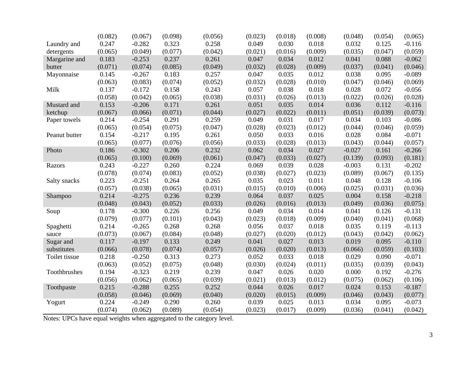|               | (0.082) | (0.067)  | (0.098) | (0.056) | (0.023) | (0.018) | (0.008) | (0.048)  | (0.054) | (0.065)  |
|---------------|---------|----------|---------|---------|---------|---------|---------|----------|---------|----------|
| Laundry and   | 0.247   | $-0.282$ | 0.323   | 0.258   | 0.049   | 0.030   | 0.018   | 0.032    | 0.125   | $-0.116$ |
| detergents    | (0.065) | (0.049)  | (0.077) | (0.042) | (0.021) | (0.016) | (0.009) | (0.035)  | (0.047) | (0.059)  |
| Margarine and | 0.183   | $-0.253$ | 0.237   | 0.261   | 0.047   | 0.034   | 0.012   | 0.041    | 0.088   | $-0.062$ |
| butter        | (0.071) | (0.074)  | (0.085) | (0.049) | (0.032) | (0.028) | (0.009) | (0.037)  | (0.041) | (0.046)  |
| Mayonnaise    | 0.145   | $-0.267$ | 0.183   | 0.257   | 0.047   | 0.035   | 0.012   | 0.038    | 0.095   | $-0.089$ |
|               | (0.063) | (0.083)  | (0.074) | (0.052) | (0.032) | (0.028) | (0.010) | (0.047)  | (0.046) | (0.069)  |
| Milk          | 0.137   | $-0.172$ | 0.158   | 0.243   | 0.057   | 0.038   | 0.018   | 0.028    | 0.072   | $-0.056$ |
|               | (0.058) | (0.042)  | (0.065) | (0.038) | (0.031) | (0.026) | (0.013) | (0.022)  | (0.026) | (0.028)  |
| Mustard and   | 0.153   | $-0.206$ | 0.171   | 0.261   | 0.051   | 0.035   | 0.014   | 0.036    | 0.112   | $-0.116$ |
| ketchup       | (0.067) | (0.066)  | (0.071) | (0.044) | (0.027) | (0.022) | (0.011) | (0.051)  | (0.039) | (0.073)  |
| Paper towels  | 0.214   | $-0.254$ | 0.291   | 0.259   | 0.049   | 0.031   | 0.017   | 0.034    | 0.103   | $-0.086$ |
|               | (0.065) | (0.054)  | (0.075) | (0.047) | (0.028) | (0.023) | (0.012) | (0.044)  | (0.046) | (0.059)  |
| Peanut butter | 0.154   | $-0.217$ | 0.195   | 0.261   | 0.050   | 0.033   | 0.016   | 0.028    | 0.084   | $-0.071$ |
|               | (0.065) | (0.077)  | (0.076) | (0.056) | (0.033) | (0.028) | (0.013) | (0.043)  | (0.044) | (0.057)  |
| Photo         | 0.186   | $-0.302$ | 0.206   | 0.232   | 0.062   | 0.034   | 0.027   | $-0.027$ | 0.161   | $-0.266$ |
|               | (0.065) | (0.100)  | (0.069) | (0.061) | (0.047) | (0.033) | (0.027) | (0.139)  | (0.093) | (0.181)  |
| Razors        | 0.243   | $-0.227$ | 0.260   | 0.224   | 0.069   | 0.039   | 0.028   | $-0.003$ | 0.131   | $-0.202$ |
|               | (0.078) | (0.074)  | (0.083) | (0.052) | (0.038) | (0.027) | (0.023) | (0.089)  | (0.067) | (0.135)  |
| Salty snacks  | 0.223   | $-0.251$ | 0.264   | 0.265   | 0.035   | 0.023   | 0.011   | 0.048    | 0.128   | $-0.106$ |
|               | (0.057) | (0.038)  | (0.065) | (0.031) | (0.015) | (0.010) | (0.006) | (0.025)  | (0.031) | (0.036)  |
| Shampoo       | 0.214   | $-0.275$ | 0.236   | 0.239   | 0.064   | 0.037   | 0.025   | 0.004    | 0.158   | $-0.218$ |
|               | (0.048) | (0.043)  | (0.052) | (0.033) | (0.026) | (0.016) | (0.013) | (0.049)  | (0.036) | (0.075)  |
| Soup          | 0.178   | $-0.300$ | 0.226   | 0.256   | 0.049   | 0.034   | 0.014   | 0.041    | 0.126   | $-0.131$ |
|               | (0.079) | (0.077)  | (0.101) | (0.043) | (0.023) | (0.018) | (0.009) | (0.040)  | (0.041) | (0.068)  |
| Spaghetti     | 0.214   | $-0.265$ | 0.268   | 0.268   | 0.056   | 0.037   | 0.018   | 0.035    | 0.119   | $-0.113$ |
| sauce         | (0.073) | (0.067)  | (0.084) | (0.048) | (0.027) | (0.020) | (0.012) | (0.043)  | (0.042) | (0.062)  |
| Sugar and     | 0.117   | $-0.197$ | 0.133   | 0.249   | 0.041   | 0.027   | 0.013   | 0.019    | 0.095   | $-0.110$ |
| substitutes   | (0.066) | (0.078)  | (0.074) | (0.057) | (0.026) | (0.020) | (0.013) | (0.066)  | (0.059) | (0.103)  |
| Toilet tissue | 0.218   | $-0.250$ | 0.313   | 0.273   | 0.052   | 0.033   | 0.018   | 0.029    | 0.090   | $-0.071$ |
|               | (0.063) | (0.052)  | (0.075) | (0.048) | (0.030) | (0.024) | (0.011) | (0.035)  | (0.039) | (0.043)  |
| Toothbrushes  | 0.194   | $-0.323$ | 0.219   | 0.239   | 0.047   | 0.026   | 0.020   | 0.000    | 0.192   | $-0.276$ |
|               | (0.056) | (0.062)  | (0.065) | (0.039) | (0.021) | (0.013) | (0.012) | (0.075)  | (0.062) | (0.106)  |
| Toothpaste    | 0.215   | $-0.288$ | 0.255   | 0.252   | 0.044   | 0.026   | 0.017   | 0.024    | 0.153   | $-0.187$ |
|               | (0.058) | (0.046)  | (0.069) | (0.040) | (0.020) | (0.015) | (0.009) | (0.046)  | (0.043) | (0.077)  |
| Yogurt        | 0.224   | $-0.249$ | 0.290   | 0.260   | 0.039   | 0.025   | 0.013   | 0.034    | 0.095   | $-0.073$ |
|               | (0.074) | (0.062)  | (0.089) | (0.054) | (0.023) | (0.017) | (0.009) | (0.036)  | (0.041) | (0.042)  |

Notes: UPCs have equal weights when aggregated to the category level.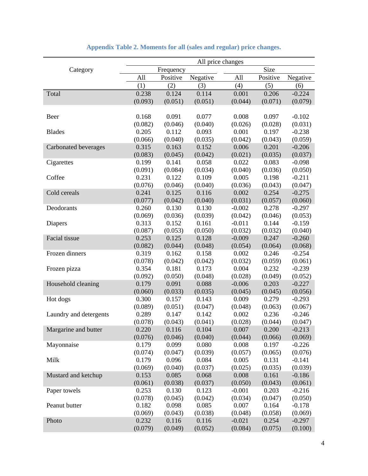|                        | All price changes |           |          |          |          |          |
|------------------------|-------------------|-----------|----------|----------|----------|----------|
| Category               |                   | Frequency |          |          | Size     |          |
|                        | All               | Positive  | Negative | All      | Positive | Negative |
|                        | (1)               | (2)       | (3)      | (4)      | (5)      | (6)      |
| Total                  | 0.238             | 0.124     | 0.114    | 0.001    | 0.206    | $-0.224$ |
|                        | (0.093)           | (0.051)   | (0.051)  | (0.044)  | (0.071)  | (0.079)  |
|                        |                   |           |          |          |          |          |
| Beer                   | 0.168             | 0.091     | 0.077    | 0.008    | 0.097    | $-0.102$ |
|                        | (0.082)           | (0.046)   | (0.040)  | (0.026)  | (0.028)  | (0.031)  |
| <b>Blades</b>          | 0.205             | 0.112     | 0.093    | 0.001    | 0.197    | $-0.238$ |
|                        | (0.066)           | (0.040)   | (0.035)  | (0.042)  | (0.043)  | (0.059)  |
| Carbonated beverages   | 0.315             | 0.163     | 0.152    | 0.006    | 0.201    | $-0.206$ |
|                        | (0.083)           | (0.045)   | (0.042)  | (0.021)  | (0.035)  | (0.037)  |
| Cigarettes             | 0.199             | 0.141     | 0.058    | 0.022    | 0.083    | $-0.098$ |
|                        | (0.091)           | (0.084)   | (0.034)  | (0.040)  | (0.036)  | (0.050)  |
| Coffee                 | 0.231             | 0.122     | 0.109    | 0.005    | 0.198    | $-0.211$ |
|                        | (0.076)           | (0.046)   | (0.040)  | (0.036)  | (0.043)  | (0.047)  |
| Cold cereals           | 0.241             | 0.125     | 0.116    | 0.002    | 0.254    | $-0.275$ |
|                        | (0.077)           | (0.042)   | (0.040)  | (0.031)  | (0.057)  | (0.060)  |
| Deodorants             | 0.260             | 0.130     | 0.130    | $-0.002$ | 0.278    | $-0.297$ |
|                        | (0.069)           | (0.036)   | (0.039)  | (0.042)  | (0.046)  | (0.053)  |
| Diapers                | 0.313             | 0.152     | 0.161    | $-0.011$ | 0.144    | $-0.159$ |
|                        | (0.087)           | (0.053)   | (0.050)  | (0.032)  | (0.032)  | (0.040)  |
| Facial tissue          | 0.253             | 0.125     | 0.128    | $-0.009$ | 0.247    | $-0.260$ |
|                        | (0.082)           | (0.044)   | (0.048)  | (0.054)  | (0.064)  | (0.068)  |
| Frozen dinners         | 0.319             | 0.162     | 0.158    | 0.002    | 0.246    | $-0.254$ |
|                        | (0.078)           | (0.042)   | (0.042)  | (0.032)  | (0.059)  | (0.061)  |
| Frozen pizza           | 0.354             | 0.181     | 0.173    | 0.004    | 0.232    | $-0.239$ |
|                        | (0.092)           | (0.050)   | (0.048)  | (0.028)  | (0.049)  | (0.052)  |
| Household cleaning     | 0.179             | 0.091     | 0.088    | $-0.006$ | 0.203    | $-0.227$ |
|                        | (0.060)           | (0.033)   | (0.035)  | (0.045)  | (0.045)  | (0.056)  |
| Hot dogs               | 0.300             | 0.157     | 0.143    | 0.009    | 0.279    | $-0.293$ |
|                        | (0.089)           | (0.051)   | (0.047)  | (0.048)  | (0.063)  | (0.067)  |
| Laundry and detergents | 0.289             | 0.147     | 0.142    | 0.002    | 0.236    | $-0.246$ |
|                        | (0.078)           | (0.043)   | (0.041)  | (0.028)  | (0.044)  | (0.047)  |
| Margarine and butter   | 0.220             | 0.116     | 0.104    | 0.007    | 0.200    | $-0.213$ |
|                        | (0.076)           | (0.046)   | (0.040)  | (0.044)  | (0.066)  | (0.069)  |
| Mayonnaise             | 0.179             | 0.099     | 0.080    | 0.008    | 0.197    | $-0.226$ |
|                        | (0.074)           | (0.047)   | (0.039)  | (0.057)  | (0.065)  | (0.076)  |
| Milk                   | 0.179             | 0.096     | 0.084    | 0.005    | 0.131    | $-0.141$ |
|                        | (0.069)           | (0.040)   | (0.037)  | (0.025)  | (0.035)  | (0.039)  |
| Mustard and ketchup    | 0.153             | 0.085     | 0.068    | 0.008    | 0.161    | $-0.186$ |
|                        | (0.061)           | (0.038)   | (0.037)  | (0.050)  | (0.043)  | (0.061)  |
| Paper towels           | 0.253             | 0.130     | 0.123    | $-0.001$ | 0.203    | $-0.216$ |
|                        | (0.078)           | (0.045)   | (0.042)  | (0.034)  | (0.047)  | (0.050)  |
| Peanut butter          | 0.182             | 0.098     | 0.085    | 0.007    | 0.164    | $-0.178$ |
|                        | (0.069)           | (0.043)   | (0.038)  | (0.048)  | (0.058)  | (0.069)  |
| Photo                  | 0.232             | 0.116     | 0.116    | $-0.021$ | 0.254    | $-0.297$ |
|                        | (0.079)           | (0.049)   | (0.052)  | (0.084)  | (0.075)  | (0.100)  |

| <b>Appendix Table 2. Moments for all (sales and regular) price changes.</b> |  |  |  |
|-----------------------------------------------------------------------------|--|--|--|
|-----------------------------------------------------------------------------|--|--|--|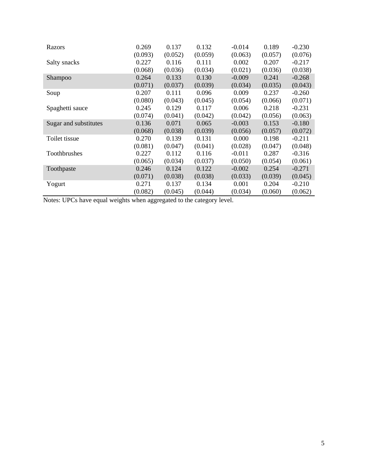| Razors                | 0.269   | 0.137   | 0.132   | $-0.014$ | 0.189   | $-0.230$ |
|-----------------------|---------|---------|---------|----------|---------|----------|
|                       | (0.093) | (0.052) | (0.059) | (0.063)  | (0.057) | (0.076)  |
| Salty snacks          | 0.227   | 0.116   | 0.111   | 0.002    | 0.207   | $-0.217$ |
|                       | (0.068) | (0.036) | (0.034) | (0.021)  | (0.036) | (0.038)  |
| Shampoo               | 0.264   | 0.133   | 0.130   | $-0.009$ | 0.241   | $-0.268$ |
|                       | (0.071) | (0.037) | (0.039) | (0.034)  | (0.035) | (0.043)  |
| Soup                  | 0.207   | 0.111   | 0.096   | 0.009    | 0.237   | $-0.260$ |
|                       | (0.080) | (0.043) | (0.045) | (0.054)  | (0.066) | (0.071)  |
| Spaghetti sauce       | 0.245   | 0.129   | 0.117   | 0.006    | 0.218   | $-0.231$ |
|                       | (0.074) | (0.041) | (0.042) | (0.042)  | (0.056) | (0.063)  |
| Sugar and substitutes | 0.136   | 0.071   | 0.065   | $-0.003$ | 0.153   | $-0.180$ |
|                       | (0.068) | (0.038) | (0.039) | (0.056)  | (0.057) | (0.072)  |
| Toilet tissue         | 0.270   | 0.139   | 0.131   | 0.000    | 0.198   | $-0.211$ |
|                       | (0.081) | (0.047) | (0.041) | (0.028)  | (0.047) | (0.048)  |
| Toothbrushes          | 0.227   | 0.112   | 0.116   | $-0.011$ | 0.287   | $-0.316$ |
|                       | (0.065) | (0.034) | (0.037) | (0.050)  | (0.054) | (0.061)  |
| Toothpaste            | 0.246   | 0.124   | 0.122   | $-0.002$ | 0.254   | $-0.271$ |
|                       | (0.071) | (0.038) | (0.038) | (0.033)  | (0.039) | (0.045)  |
| Yogurt                | 0.271   | 0.137   | 0.134   | 0.001    | 0.204   | $-0.210$ |
|                       | (0.082) | (0.045) | (0.044) | (0.034)  | (0.060) | (0.062)  |

Notes: UPCs have equal weights when aggregated to the category level.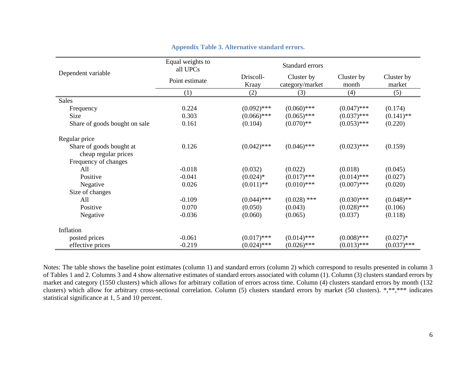|                               | Equal weights to<br>all UPCs |                    | Standard errors               |                     |                      |  |  |
|-------------------------------|------------------------------|--------------------|-------------------------------|---------------------|----------------------|--|--|
| Dependent variable            | Point estimate               | Driscoll-<br>Kraay | Cluster by<br>category/market | Cluster by<br>month | Cluster by<br>market |  |  |
|                               | (1)                          | (2)                | (3)                           | (4)                 | (5)                  |  |  |
| <b>Sales</b>                  |                              |                    |                               |                     |                      |  |  |
| Frequency                     | 0.224                        | $(0.092)$ ***      | $(0.060)$ ***                 | $(0.047)$ ***       | (0.174)              |  |  |
| Size                          | 0.303                        | $(0.066)$ ***      | $(0.065)$ ***                 | $(0.037)$ ***       | $(0.141)$ **         |  |  |
| Share of goods bought on sale | 0.161                        | (0.104)            | $(0.070)$ **                  | $(0.053)$ ***       | (0.220)              |  |  |
| Regular price                 |                              |                    |                               |                     |                      |  |  |
| Share of goods bought at      | 0.126                        | $(0.042)$ ***      | $(0.046)$ ***                 | $(0.023)$ ***       | (0.159)              |  |  |
| cheap regular prices          |                              |                    |                               |                     |                      |  |  |
| Frequency of changes          |                              |                    |                               |                     |                      |  |  |
| All                           | $-0.018$                     | (0.032)            | (0.022)                       | (0.018)             | (0.045)              |  |  |
| Positive                      | $-0.041$                     | $(0.024)*$         | $(0.017)$ ***                 | $(0.014)$ ***       | (0.027)              |  |  |
| Negative                      | 0.026                        | $(0.011)$ **       | $(0.010)$ ***                 | $(0.007)$ ***       | (0.020)              |  |  |
| Size of changes               |                              |                    |                               |                     |                      |  |  |
| All                           | $-0.109$                     | $(0.044)$ ***      | $(0.028)$ ***                 | $(0.030)$ ***       | $(0.048)$ **         |  |  |
| Positive                      | 0.070                        | (0.050)            | (0.043)                       | $(0.028)$ ***       | (0.106)              |  |  |
| Negative                      | $-0.036$                     | (0.060)            | (0.065)                       | (0.037)             | (0.118)              |  |  |
| Inflation                     |                              |                    |                               |                     |                      |  |  |
| posted prices                 | $-0.061$                     | $(0.017)$ ***      | $(0.014)$ ***                 | $(0.008)$ ***       | $(0.027)*$           |  |  |
| effective prices              | $-0.219$                     | $(0.024)$ ***      | $(0.026)$ ***                 | $(0.013)$ ***       | $(0.037)$ ***        |  |  |

### **Appendix Table 3. Alternative standard errors.**

Notes: The table shows the baseline point estimates (column 1) and standard errors (column 2) which correspond to results presented in column 3 of Tables 1 and 2. Columns 3 and 4 show alternative estimates of standard errors associated with column (1). Column (3) clusters standard errors by market and category (1550 clusters) which allows for arbitrary collation of errors across time. Column (4) clusters standard errors by month (132 clusters) which allow for arbitrary cross-sectional correlation. Column (5) clusters standard errors by market (50 clusters). \*,\*\*,\*\*\* indicates statistical significance at 1, 5 and 10 percent.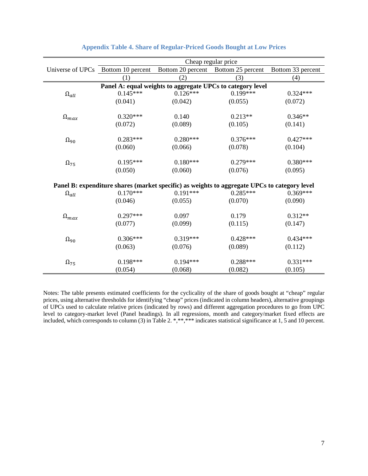| Cheap regular price |                                                                                              |                                                            |                                     |                   |  |  |
|---------------------|----------------------------------------------------------------------------------------------|------------------------------------------------------------|-------------------------------------|-------------------|--|--|
|                     | Universe of UPCs Bottom 10 percent                                                           |                                                            | Bottom 20 percent Bottom 25 percent | Bottom 33 percent |  |  |
|                     | (1)                                                                                          | (2)                                                        | (3)                                 | (4)               |  |  |
|                     |                                                                                              | Panel A: equal weights to aggregate UPCs to category level |                                     |                   |  |  |
| $\Omega_{all}$      | $0.145***$                                                                                   | $0.126***$                                                 | $0.199***$                          | $0.324***$        |  |  |
|                     | (0.041)                                                                                      | (0.042)                                                    | (0.055)                             | (0.072)           |  |  |
|                     | $0.320***$                                                                                   | 0.140                                                      | $0.213**$                           | $0.346**$         |  |  |
| $\Omega_{max}$      | (0.072)                                                                                      | (0.089)                                                    | (0.105)                             | (0.141)           |  |  |
|                     |                                                                                              |                                                            |                                     |                   |  |  |
| $\Omega_{90}$       | $0.283***$                                                                                   | $0.280***$                                                 | $0.376***$                          | $0.427***$        |  |  |
|                     | (0.060)                                                                                      | (0.066)                                                    | (0.078)                             | (0.104)           |  |  |
| $\Omega_{75}$       | $0.195***$                                                                                   | $0.180***$                                                 | $0.279***$                          | $0.380***$        |  |  |
|                     | (0.050)                                                                                      | (0.060)                                                    | (0.076)                             | (0.095)           |  |  |
|                     | Panel B: expenditure shares (market specific) as weights to aggregate UPCs to category level |                                                            |                                     |                   |  |  |
| $\Omega_{all}$      | $0.170***$                                                                                   | $0.191***$                                                 | $0.285***$                          | $0.369***$        |  |  |
|                     | (0.046)                                                                                      | (0.055)                                                    | (0.070)                             | (0.090)           |  |  |
| $\Omega_{max}$      | $0.297***$                                                                                   | 0.097                                                      | 0.179                               | $0.312**$         |  |  |
|                     | (0.077)                                                                                      | (0.099)                                                    | (0.115)                             | (0.147)           |  |  |
|                     | $0.306***$                                                                                   | $0.319***$                                                 | $0.428***$                          | $0.434***$        |  |  |
| $\Omega_{90}$       |                                                                                              |                                                            |                                     |                   |  |  |
|                     | (0.063)                                                                                      | (0.076)                                                    | (0.089)                             | (0.112)           |  |  |
| $\Omega_{75}$       | $0.198***$                                                                                   | $0.194***$                                                 | $0.288***$                          | $0.331***$        |  |  |
|                     | (0.054)                                                                                      | (0.068)                                                    | (0.082)                             | (0.105)           |  |  |

#### **Appendix Table 4. Share of Regular-Priced Goods Bought at Low Prices**

Notes: The table presents estimated coefficients for the cyclicality of the share of goods bought at "cheap" regular prices, using alternative thresholds for identifying "cheap" prices (indicated in column headers), alternative groupings of UPCs used to calculate relative prices (indicated by rows) and different aggregation procedures to go from UPC level to category-market level (Panel headings). In all regressions, month and category/market fixed effects are included, which corresponds to column (3) in Table 2. \*,\*\*,\*\*\* indicates statistical significance at 1, 5 and 10 percent.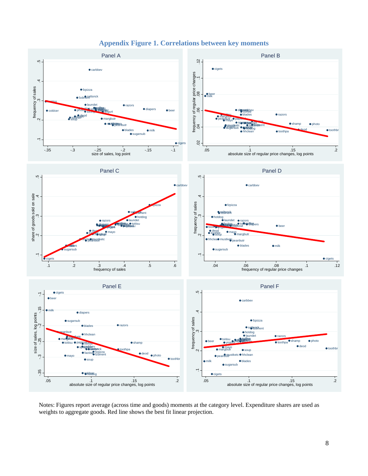

## **Appendix Figure 1. Correlations between key moments**

Notes: Figures report average (across time and goods) moments at the category level. Expenditure shares are used as weights to aggregate goods. Red line shows the best fit linear projection.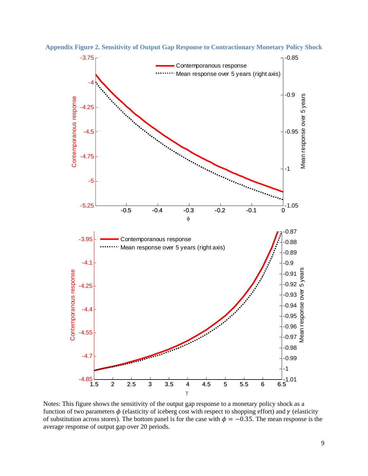

**Appendix Figure 2. Sensitivity of Output Gap Response to Contractionary Monetary Policy Shock** 

 Notes: This figure shows the sensitivity of the output gap response to a monetary policy shock as a function of two parameters  $\phi$  (elasticity of iceberg cost with respect to shopping effort) and  $\gamma$  (elasticity of substitution across stores). The bottom panel is for the case with  $\phi = -0.35$ . The mean response is the average response of output gap over 20 periods.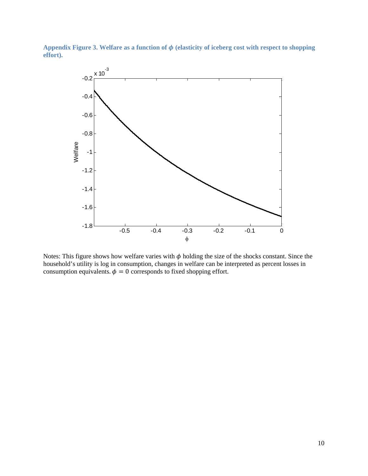Appendix Figure 3. Welfare as a function of  $\phi$  (elasticity of iceberg cost with respect to shopping **effort).**



Notes: This figure shows how welfare varies with  $\phi$  holding the size of the shocks constant. Since the household's utility is log in consumption, changes in welfare can be interpreted as percent losses in consumption equivalents.  $\phi = 0$  corresponds to fixed shopping effort.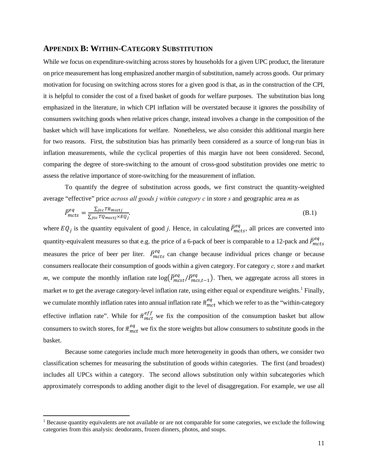#### **APPENDIX B: WITHIN-CATEGORY SUBSTITUTION**

While we focus on expenditure-switching across stores by households for a given UPC product, the literature on price measurement has long emphasized another margin of substitution, namely across goods. Our primary motivation for focusing on switching across stores for a given good is that, as in the construction of the CPI, it is helpful to consider the cost of a fixed basket of goods for welfare purposes. The substitution bias long emphasized in the literature, in which CPI inflation will be overstated because it ignores the possibility of consumers switching goods when relative prices change, instead involves a change in the composition of the basket which will have implications for welfare. Nonetheless, we also consider this additional margin here for two reasons. First, the substitution bias has primarily been considered as a source of long-run bias in inflation measurements, while the cyclical properties of this margin have not been considered. Second, comparing the degree of store-switching to the amount of cross-good substitution provides one metric to assess the relative importance of store-switching for the measurement of inflation.

To quantify the degree of substitution across goods, we first construct the quantity-weighted average "effective" price *across all goods j within category c* in store *s* and geographic area *m* as

$$
\bar{P}_{mcts}^{eq} = \frac{\sum_{j \in c} TR_{mscij}}{\sum_{j \in c} TQ_{mscij} \times EQ_j}.
$$
\n(B.1)

where  $EQ_j$  is the quantity equivalent of good *j*. Hence, in calculating  $\bar{P}_{mcts}^{eq}$ , all prices are converted into quantity-equivalent measures so that e.g. the price of a 6-pack of beer is comparable to a 12-pack and  $\bar{P}_{mcts}^{eq}$ eq measures the price of beer per liter.  $\bar{P}_{mcts}^{eq}$  can change because individual prices change or because consumers reallocate their consumption of goods within a given category. For category *c,* store *s* and market *m*, we compute the monthly inflation rate  $log(\bar{P}_{m_c}^{eq} / \bar{P}_{m_c}^{eq})$ . Then, we aggregate across all stores in market *m* to get the average category-level inflation rate, using either equal or expenditure weights.<sup>1</sup> Finally, we cumulate monthly inflation rates into annual inflation rate  $\bar{\pi}^{eq}_{mct}$  which we refer to as the "within-category effective inflation rate". While for  $\bar{\pi}_{mct}^{eff}$  we fix the composition of the consumption basket but allow consumers to switch stores, for  $\bar{\pi}^{eq}_{mct}$  we fix the store weights but allow consumers to substitute goods in the basket.

 Because some categories include much more heterogeneity in goods than others, we consider two classification schemes for measuring the substitution of goods within categories. The first (and broadest) includes all UPCs within a category. The second allows substitution only within subcategories which approximately corresponds to adding another digit to the level of disaggregation. For example, we use all

<sup>&</sup>lt;sup>1</sup> Because quantity equivalents are not available or are not comparable for some categories, we exclude the following categories from this analysis: deodorants, frozen dinners, photos, and soups.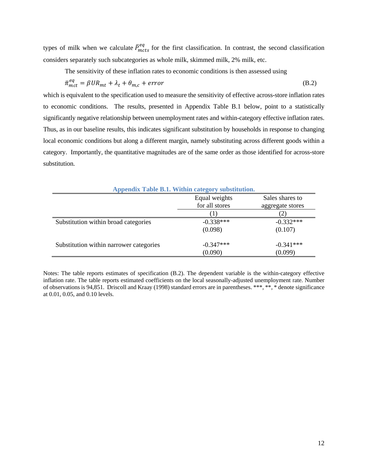types of milk when we calculate  $\bar{P}_{mcts}^{eq}$  for the first classification. In contrast, the second classification considers separately such subcategories as whole milk, skimmed milk, 2% milk, etc.

The sensitivity of these inflation rates to economic conditions is then assessed using

$$
\bar{\pi}_{mct}^{eq} = \beta U R_{mt} + \lambda_t + \theta_{m,c} + error \tag{B.2}
$$

which is equivalent to the specification used to measure the sensitivity of effective across-store inflation rates to economic conditions. The results, presented in Appendix Table B.1 below, point to a statistically significantly negative relationship between unemployment rates and within-category effective inflation rates. Thus, as in our baseline results, this indicates significant substitution by households in response to changing local economic conditions but along a different margin, namely substituting across different goods within a category. Importantly, the quantitative magnitudes are of the same order as those identified for across-store substitution.

| Appendix Table B.1. Within category substitution. |                |                  |  |  |  |
|---------------------------------------------------|----------------|------------------|--|--|--|
|                                                   | Equal weights  | Sales shares to  |  |  |  |
|                                                   | for all stores | aggregate stores |  |  |  |
|                                                   | $\Box$         |                  |  |  |  |
| Substitution within broad categories              | $-0.338***$    | $-0.332***$      |  |  |  |
|                                                   | (0.098)        | (0.107)          |  |  |  |
| Substitution within narrower categories           | $-0.347***$    | $-0.341***$      |  |  |  |
|                                                   | (0.090)        | (0.099)          |  |  |  |

Notes: The table reports estimates of specification (B.2). The dependent variable is the within-category effective inflation rate. The table reports estimated coefficients on the local seasonally-adjusted unemployment rate. Number of observations is 94,851. Driscoll and Kraay (1998) standard errors are in parentheses. \*\*\*, \*\*, \* denote significance at 0.01, 0.05, and 0.10 levels.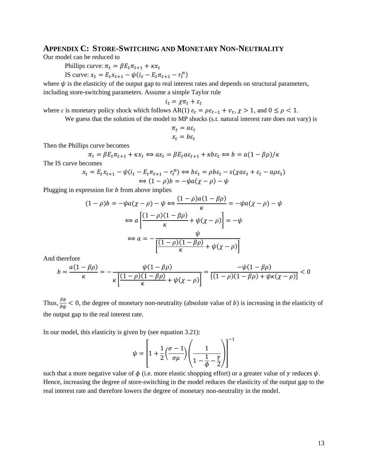## **APPENDIX C: STORE-SWITCHING AND MONETARY NON-NEUTRALITY**

Our model can be reduced to

Phillips curve:  $\pi_t = \beta E_t \pi_{t+1} + \kappa x_t$ 

IS curve:  $x_t = E_t x_{t+1} - \psi(i_t - E_t \pi_{t+1} - r_t^n)$ 

where  $\psi$  is the elasticity of the output gap to real interest rates and depends on structural parameters, including store-switching parameters. Assume a simple Taylor rule

$$
i_t = \chi \pi_t + \varepsilon_t
$$

where  $\varepsilon$  is monetary policy shock which follows AR(1)  $\varepsilon_t = \rho \varepsilon_{t-1} + v_t$ ,  $\chi > 1$ , and  $0 \le \rho < 1$ .

We guess that the solution of the model to MP shocks (s.t. natural interest rate does not vary) is

$$
\pi_t = a\varepsilon_t
$$

$$
x_t = b\varepsilon_t
$$

Then the Phillips curve becomes

$$
\pi_t = \beta E_t \pi_{t+1} + \kappa x_t \Leftrightarrow a\varepsilon_t = \beta E_t a \varepsilon_{t+1} + \kappa b \varepsilon_t \Leftrightarrow b = a(1 - \beta \rho)/\kappa
$$

The IS curve becomes

$$
x_t = E_t x_{t+1} - \psi(i_t - E_t \pi_{t+1} - r_t^n) \Leftrightarrow b\varepsilon_t = \rho b\varepsilon_t - s(\chi a\varepsilon_t + \varepsilon_t - a\rho \varepsilon_t)
$$
  

$$
\Leftrightarrow (1 - \rho)b = -\psi a(\chi - \rho) - \psi
$$

Plugging in expression for  *from above implies* 

$$
(1 - \rho)b = -\psi a(\chi - \rho) - \psi \Leftrightarrow \frac{(1 - \rho)a(1 - \beta\rho)}{\kappa} = -\psi a(\chi - \rho) - \psi
$$

$$
\Leftrightarrow a\left[\frac{(1 - \rho)(1 - \beta\rho)}{\kappa} + \psi(\chi - \rho)\right] = -\psi
$$

$$
\Leftrightarrow a = -\frac{\psi}{\left[\frac{(1 - \rho)(1 - \beta\rho)}{\kappa} + \psi(\chi - \rho)\right]}
$$

And therefore

$$
b = \frac{a(1 - \beta \rho)}{\kappa} = -\frac{\psi(1 - \beta \rho)}{\kappa \left[ \frac{(1 - \rho)(1 - \beta \rho)}{\kappa} + \psi(\chi - \rho) \right]} = \frac{-\psi(1 - \beta \rho)}{[(1 - \rho)(1 - \beta \rho) + \psi(\chi - \rho)]} < 0
$$

Thus,  $\frac{\partial b}{\partial \psi}$  < 0, the degree of monetary non-neutrality (absolute value of b) is increasing in the elasticity of the output gap to the real interest rate.

In our model, this elasticity is given by (see equation 3.21):

$$
\psi = \left[1 + \frac{1}{2}\left(\frac{\sigma - 1}{\sigma \mu}\right)\left(\frac{1}{1 - \frac{1}{\phi} - \frac{\gamma}{2}}\right)\right]^{-1}
$$

such that a more negative value of  $\phi$  (i.e. more elastic shopping effort) or a greater value of  $\gamma$  reduces  $\psi$ . Hence, increasing the degree of store-switching in the model reduces the elasticity of the output gap to the real interest rate and therefore lowers the degree of monetary non-neutrality in the model.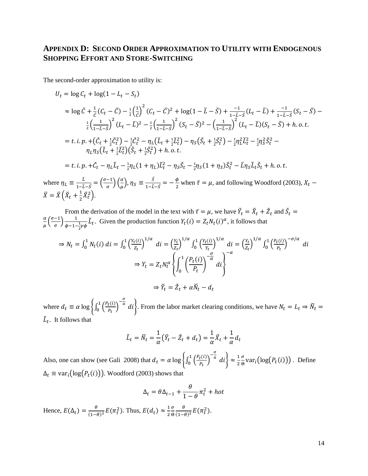# **APPENDIX D: SECOND ORDER APPROXIMATION TO UTILITY WITH ENDOGENOUS SHOPPING EFFORT AND STORE-SWITCHING**

The second-order approximation to utility is:

$$
U_t = \log C_t + \log(1 - L_t - S_t)
$$
  
\n
$$
\approx \log \bar{C} + \frac{1}{\bar{C}}(C_t - \bar{C}) - \frac{1}{2}\left(\frac{1}{\bar{C}}\right)^2 (C_t - \bar{C})^2 + \log(1 - \bar{L} - \bar{S}) + \frac{-1}{1 - \bar{L} - \bar{S}}(L_t - \bar{L}) + \frac{-1}{1 - \bar{L} - \bar{S}}(S_t - \bar{S}) - \frac{1}{2}\left(\frac{1}{1 - \bar{L} - \bar{S}}\right)^2 (L_t - \bar{L})^2 - \frac{1}{2}\left(\frac{1}{1 - \bar{L} - \bar{S}}\right)^2 (S_t - \bar{S})^2 - \left(\frac{1}{1 - \bar{L} - \bar{S}}\right)^2 (L_t - \bar{L})(S_t - \bar{S}) + h.o.t.
$$
  
\n
$$
= t.i.p. + \left(\tilde{C}_t + \frac{1}{2}\tilde{C}_t^2\right) - \frac{1}{2}\tilde{C}_t^2 - \eta_L\left(\tilde{L}_t + \frac{1}{2}\tilde{L}_t^2\right) - \eta_S\left(\tilde{S}_t + \frac{1}{2}\tilde{S}_t^2\right) - \frac{1}{2}\eta_L^2\tilde{L}_t^2 - \frac{1}{2}\eta_S^2\tilde{S}_t^2 - \eta_L\eta_S\left(\tilde{L}_t + \frac{1}{2}\tilde{L}_t^2\right)\left(\tilde{S}_t + \frac{1}{2}\tilde{S}_t^2\right) + h.o.t.
$$
  
\n
$$
= t.i.p. + \tilde{C}_t - \eta_L L_t - \frac{1}{2}\eta_L(1 + \eta_L)\tilde{L}_t^2 - \eta_S\tilde{S}_t - \frac{1}{2}\eta_S(1 + \eta_S)\tilde{S}_t^2 - \bar{L}\eta_S L_t\tilde{S}_t + h.o.t.
$$

where  $\eta_L \equiv \frac{\bar{L}}{1-\bar{L}}$  $\frac{\bar{L}}{1-\bar{L}-\bar{S}} = \left(\frac{\sigma-1}{\sigma}\right)\left(\frac{\alpha}{\mu}\right), \eta_S \equiv \frac{\bar{S}}{1-\bar{L}}$  $\frac{\bar{s}}{1-\bar{L}-\bar{s}} = -\frac{\phi}{2}$  when  $\bar{\tau} = \mu$ , and following Woodford (2003),  $X_t$  –  $\bar{X} = \bar{X} \left( \check{X}_t + \frac{1}{2} \check{X}_t^2 \right).$ 

From the derivation of the model in the text with  $\bar{\tau} = \mu$ , we have  $\check{Y}_t = \check{X}_t + \check{Z}_t$  and  $\check{S}_t = \alpha (\sigma - 1)$  $\frac{\alpha}{\mu} \left( \frac{\sigma - 1}{\sigma} \right) \frac{1}{\phi - 1 - \frac{1}{2} \gamma \phi} L_t$ . Given the production function  $Y_t(i) = Z_t N_t(i)^{\alpha}$ , it follows that

$$
\Rightarrow N_t = \int_0^1 N_t(i) \, di = \int_0^1 \left(\frac{Y_t(i)}{Z_t}\right)^{1/\alpha} \, di = \left(\frac{Y_t}{Z_t}\right)^{1/\alpha} \int_0^1 \left(\frac{Y_t(i)}{Y_t}\right)^{1/\alpha} \, di = \left(\frac{Y_t}{Z_t}\right)^{1/\alpha} \int_0^1 \left(\frac{P_t(i)}{P_t}\right)^{-\sigma/\alpha} \, di
$$
\n
$$
\Rightarrow Y_t = Z_t N_t^\alpha \left\{ \int_0^1 \left(\frac{P_t(i)}{P_t}\right)^{-\alpha} \, di \right\}
$$
\n
$$
\Rightarrow \check{Y}_t = \check{Z}_t + \alpha \check{N}_t - d_t
$$

where  $d_t \equiv \alpha \log \left\{ \int_0^1 \left( \frac{P_t(i)}{P_t} \right) d s \right\}$  $\frac{t^{(t)}}{P_t}$  $\sum_{k=0}^{1} \left( \frac{P_t(i)}{P_t} \right)^{-\frac{\sigma}{\alpha}} di$ . From the labor market clearing conditions, we have  $N_t = L_t \Rightarrow \widetilde{N}_t = \frac{1}{\sigma}$  $\check{L}_t$ . It follows that

$$
\check{L}_t = \check{N}_t = \frac{1}{\alpha} \left( \check{Y}_t - \check{Z}_t + d_t \right) = \frac{1}{\alpha} \check{X}_t + \frac{1}{\alpha} d_t
$$

Also, one can show (see Gali 2008) that  $d_t = \alpha \log \left\{ \int_0^1 \left( \frac{P_t(i)}{R} \right)^2 \right\}$  $\frac{t^{(t)}}{P_t}$  $\int_0^1 \left(\frac{P_t(i)}{P_t}\right)^{-\frac{\sigma}{\alpha}} di \right\} \approx \frac{1}{2}$  $\sigma$  $\frac{\sigma}{\Theta}$ var<sub>*i*</sub>(log(*P*<sub>t</sub>(*i*))). Define  $\Delta_t \equiv \text{var}_i(\log(P_t(i)))$ . Woodford (2003) shows that

$$
\Delta_t = \theta \Delta_{t-1} + \frac{\theta}{1 - \theta} \pi_t^2 + \text{hot}
$$
  
Hence,  $E(\Delta_t) = \frac{\theta}{(1 - \theta)^2} E(\pi_t^2)$ . Thus,  $E(d_t) \approx \frac{1}{2} \frac{\sigma}{\theta} \frac{\theta}{(1 - \theta)^2} E(\pi_t^2)$ .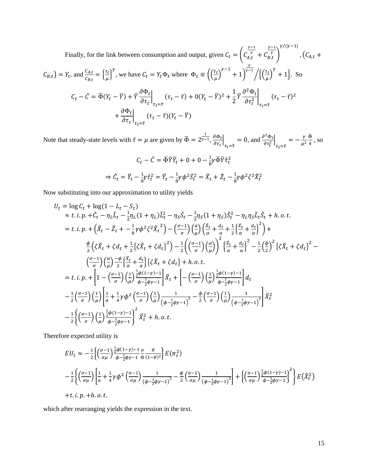Finally, for the link between consumption and output, given 
$$
C_t = \left( \frac{r-1}{\alpha} \frac{r-1}{\alpha} \right)^{\gamma/( \gamma - 1)}, \left( C_{A,t} + C_{B,t} \right)^{\gamma/(\gamma - 1)}, \left( C_{A,t} + C_{B,t} \right)^{\gamma} = Y_t
$$
, and 
$$
\frac{C_{A,t}}{C_{B,t}} = \left\{ \frac{\tau_t}{\mu} \right\}^{\gamma},
$$
 we have 
$$
C_t = Y_t \Phi_t
$$
 where 
$$
\Phi_t \equiv \left( \left( \frac{\tau_t}{\mu} \right)^{\gamma - 1} + 1 \right)^{\gamma - 1} / \left\{ \left( \frac{\tau_t}{\mu} \right)^{\gamma} + 1 \right\}.
$$
 So 
$$
C_t - \bar{C} = \overline{\Phi}(Y_t - \bar{Y}) + \overline{Y} \frac{\partial \Phi_t}{\partial \tau_t} \Big|_{\tau_t = \overline{\tau}} (\tau_t - \overline{\tau}) + 0(Y_t - \overline{Y})^2 + \frac{1}{2} \overline{Y} \frac{\partial^2 \Phi_t}{\partial \tau_t^2} \Big|_{\tau_t = \overline{\tau}} (\tau_t - \overline{\tau})^2
$$

$$
+ \frac{\partial \Phi_t}{\partial \tau_t} \Big|_{\tau_t = \overline{\tau}} (\tau_t - \overline{\tau}) (Y_t - \overline{Y})
$$

Note that steady-state levels with  $\bar{\tau} = \mu$  are given by  $\bar{\Phi} = 2^{\frac{1}{\gamma - 1}}, \frac{\partial \Phi_t}{\partial \tau}$  $\frac{\partial \Psi_t}{\partial \tau_t}$  $\tau_t = \overline{\tau}$  $= 0$ , and  $\frac{\partial^2 \Phi_t}{\partial \tau_t^2}$  $\tau_t = \overline{\tau}$  $=-\frac{\gamma}{\mu^2}$  $\frac{\overline{\Phi}}{4}$ , so

$$
C_t - \bar{C} = \overline{\Phi}\overline{Y}\tilde{Y}_t + 0 + 0 - \frac{1}{8}\gamma \overline{\Phi}\overline{Y}\tilde{\tau}_t^2
$$
  
\n
$$
\Rightarrow \tilde{C}_t = \check{Y}_t - \frac{1}{8}\gamma \check{\tau}_t^2 = \check{Y}_t - \frac{1}{8}\gamma \phi^2 \check{S}_t^2 = \check{X}_t + \check{Z}_t - \frac{1}{8}\gamma \phi^2 \zeta^2 \check{X}_t^2
$$

Now substituting into our approximation to utility yields

$$
U_{t} = \log C_{t} + \log(1 - L_{t} - S_{t})
$$
  
\n
$$
\approx t \cdot i \cdot p + \tilde{C}_{t} - \eta_{L} L_{t} - \frac{1}{2} \eta_{L} (1 + \eta_{L}) L_{t}^{2} - \eta_{S} S_{t} - \frac{1}{2} \eta_{S} (1 + \eta_{S}) S_{t}^{2} - \eta_{L} \eta_{S} L_{t} S_{t} + h \cdot o \cdot t.
$$
  
\n
$$
= t \cdot i \cdot p + (\tilde{X}_{t} - \tilde{Z}_{t} + -\frac{1}{8} \gamma \phi^{2} \zeta^{2} \tilde{X}_{t}^{2}) - (\frac{\sigma - 1}{\sigma}) (\frac{\alpha}{\mu}) (\frac{\tilde{X}_{t}}{\alpha} + \frac{d_{t}}{\alpha} + \frac{1}{2} (\frac{\tilde{X}_{t}}{\alpha} + \frac{d_{t}}{\alpha})^{2}) +
$$
  
\n
$$
\frac{\phi}{2} (\zeta \tilde{X}_{t} + \zeta d_{t} + \frac{1}{2} (\zeta \tilde{X}_{t} + \zeta d_{t})^{2}) - \frac{1}{2} ((\frac{\sigma - 1}{\sigma}) (\frac{\alpha}{\mu}))^{2} (\frac{\tilde{X}_{t}}{\alpha} + \frac{d_{t}}{\alpha})^{2} - \frac{1}{2} (\frac{\phi}{2})^{2} (\zeta \tilde{X}_{t} + \zeta d_{t})^{2} -
$$
  
\n
$$
(\frac{\sigma - 1}{\sigma}) (\frac{\alpha}{\mu}) \frac{-\phi}{2} (\frac{\tilde{X}_{t}}{\alpha} + \frac{d_{t}}{\alpha}) (\zeta \tilde{X}_{t} + \zeta d_{t}) + h \cdot o \cdot t.
$$
  
\n
$$
= t \cdot i \cdot p + \left[ 1 - (\frac{\sigma - 1}{\sigma}) (\frac{1}{\mu}) \frac{\frac{1}{2} \phi (1 - \gamma) - 1}{\phi - \frac{1}{2} \phi \gamma - 1} \right] \tilde{X}_{t} + \left[ - (\frac{\sigma - 1}{\sigma}) (\frac{1}{\mu}) \frac{\frac{1}{2} \phi (1 - \gamma) - 1}{\phi - \frac{1}{2} \phi \gamma - 1} \right] d_{t}
$$
  
\n
$$
- \frac{1}{2} (\frac{\sigma - 1}{\
$$

Therefore expected utility is

$$
EU_t \approx -\frac{1}{2} \left\{ \left( \frac{\sigma - 1}{\sigma \mu} \right) \frac{\frac{1}{2} \phi (1 - \gamma) - 1}{\phi - \frac{1}{2} \phi \gamma - 1} \frac{\sigma}{\Theta} \frac{\theta}{(1 - \theta)^2} \right\} E(\pi_t^2)
$$
  

$$
-\frac{1}{2} \left\{ \left( \frac{\sigma - 1}{\sigma \mu} \right) \left[ \frac{1}{\alpha} + \frac{1}{4} \gamma \phi^2 \left( \frac{\sigma - 1}{\sigma \mu} \right) \frac{1}{\left( \phi - \frac{1}{2} \phi \gamma - 1 \right)^2} - \frac{\phi}{2} \left( \frac{\sigma - 1}{\sigma \mu} \right) \frac{1}{\left( \phi - \frac{1}{2} \phi \gamma - 1 \right)^2} \right] + \left\{ \left( \frac{\sigma - 1}{\sigma \mu} \right) \frac{\frac{1}{2} \phi (1 - \gamma) - 1}{\phi - \frac{1}{2} \phi \gamma - 1} \right\}^2 \right\} E(\tilde{X}_t^2)
$$
  
+t.i.p. +h.o.t.

which after rearranging yields the expression in the text.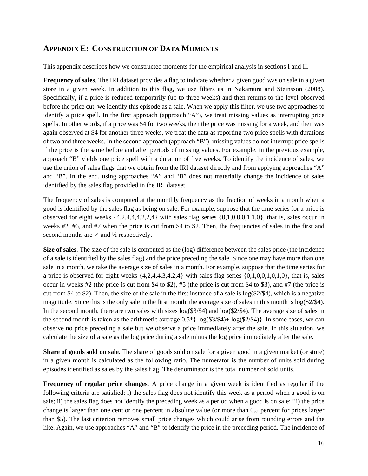# **APPENDIX E: CONSTRUCTION OF DATA MOMENTS**

This appendix describes how we constructed moments for the empirical analysis in sections I and II.

**Frequency of sales**. The IRI dataset provides a flag to indicate whether a given good was on sale in a given store in a given week. In addition to this flag, we use filters as in Nakamura and Steinsson (2008). Specifically, if a price is reduced temporarily (up to three weeks) and then returns to the level observed before the price cut, we identify this episode as a sale. When we apply this filter, we use two approaches to identify a price spell. In the first approach (approach "A"), we treat missing values as interrupting price spells. In other words, if a price was \$4 for two weeks, then the price was missing for a week, and then was again observed at \$4 for another three weeks, we treat the data as reporting two price spells with durations of two and three weeks. In the second approach (approach "B"), missing values do not interrupt price spells if the price is the same before and after periods of missing values. For example, in the previous example, approach "B" yields one price spell with a duration of five weeks. To identify the incidence of sales, we use the union of sales flags that we obtain from the IRI dataset directly and from applying approaches "A" and "B". In the end, using approaches "A" and "B" does not materially change the incidence of sales identified by the sales flag provided in the IRI dataset.

The frequency of sales is computed at the monthly frequency as the fraction of weeks in a month when a good is identified by the sales flag as being on sale. For example, suppose that the time series for a price is observed for eight weeks  $\{4,2,4,4,4,2,2,4\}$  with sales flag series  $\{0,1,0,0,0,1,1,0\}$ , that is, sales occur in weeks #2, #6, and #7 when the price is cut from \$4 to \$2. Then, the frequencies of sales in the first and second months are  $\frac{1}{4}$  and  $\frac{1}{2}$  respectively.

**Size of sales**. The size of the sale is computed as the (log) difference between the sales price (the incidence of a sale is identified by the sales flag) and the price preceding the sale. Since one may have more than one sale in a month, we take the average size of sales in a month. For example, suppose that the time series for a price is observed for eight weeks  $\{4,2,4,4,3,4,2,4\}$  with sales flag series  $\{0,1,0,0,1,0,1,0\}$ , that is, sales occur in weeks #2 (the price is cut from \$4 to \$2), #5 (the price is cut from \$4 to \$3), and #7 (the price is cut from \$4 to \$2). Then, the size of the sale in the first instance of a sale is  $log(2/4)$ , which is a negative magnitude. Since this is the only sale in the first month, the average size of sales in this month is  $log(2/34)$ . In the second month, there are two sales with sizes  $log(3/34)$  and  $log(2/54)$ . The average size of sales in the second month is taken as the arithmetic average  $0.5*$   $\log(\frac{\$3}{\$4}) + \log(\frac{\$2}{\$4})$ . In some cases, we can observe no price preceding a sale but we observe a price immediately after the sale. In this situation, we calculate the size of a sale as the log price during a sale minus the log price immediately after the sale.

**Share of goods sold on sale**. The share of goods sold on sale for a given good in a given market (or store) in a given month is calculated as the following ratio. The numerator is the number of units sold during episodes identified as sales by the sales flag. The denominator is the total number of sold units.

**Frequency of regular price changes**. A price change in a given week is identified as regular if the following criteria are satisfied: i) the sales flag does not identify this week as a period when a good is on sale; ii) the sales flag does not identify the preceding week as a period when a good is on sale; iii) the price change is larger than one cent or one percent in absolute value (or more than 0.5 percent for prices larger than \$5). The last criterion removes small price changes which could arise from rounding errors and the like. Again, we use approaches "A" and "B" to identify the price in the preceding period. The incidence of